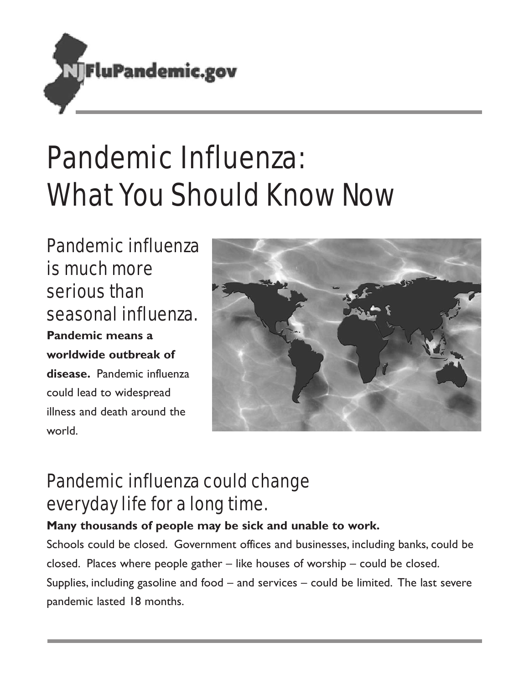

# Pandemic Influenza: What You Should Know Now

Pandemic influenza is much more serious than seasonal influenza. **Pandemic means a worldwide outbreak of disease.** Pandemic influenza could lead to widespread illness and death around the world.



### Pandemic influenza could change everyday life for a long time.

**Many thousands of people may be sick and unable to work.**

Schools could be closed. Government offices and businesses, including banks, could be closed. Places where people gather – like houses of worship – could be closed.

Supplies, including gasoline and food – and services – could be limited. The last severe pandemic lasted 18 months.